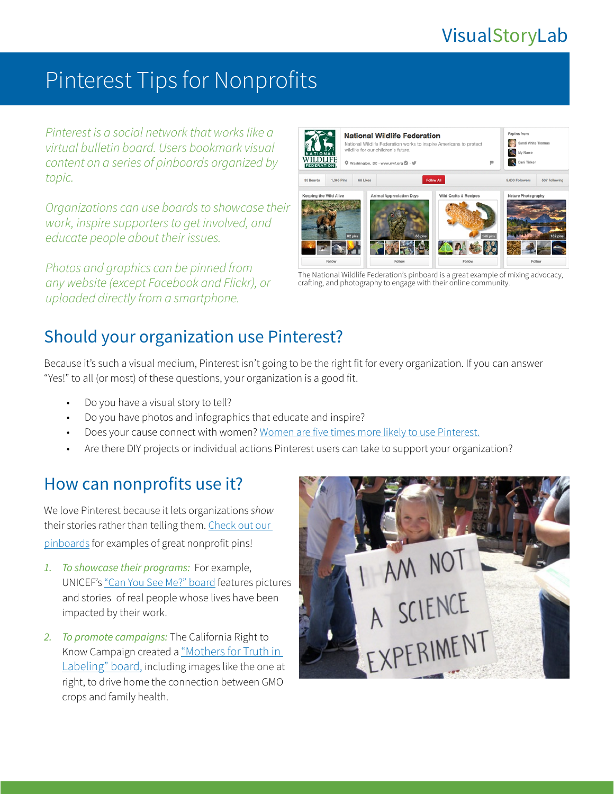# VisualStoryLab

# Pinterest Tips for Nonprofits

*Pinterest is a social network that works like a virtual bulletin board. Users bookmark visual content on a series of pinboards organized by topic.* 

*Organizations can use boards to showcase their work, inspire supporters to get involved, and educate people about their issues.* 

*Photos and graphics can be pinned from any website (except Facebook and Flickr), or uploaded directly from a smartphone.* 



The National Wildlife Federation's pinboard is a great example of mixing advocacy, crafting, and photography to engage with their online community.

## Should your organization use Pinterest?

Because it's such a visual medium, Pinterest isn't going to be the right fit for every organization. If you can answer "Yes!" to all (or most) of these questions, your organization is a good fit.

- Do you have a visual story to tell?
- Do you have photos and infographics that educate and inspire?
- Does your cause connect with women? Women are [five times more likely to use Pinterest](http://pewinternet.org/Reports/2013/Social-media-users/Social-Networking-Site-Users/Demo-portrait.aspx).
- Are there DIY projects or individual actions Pinterest users can take to support your organization?

### How can nonprofits use it?

We love Pinterest because it lets organizations *show* their stories rather than telling them. [Check out our](http://pinterest.com/resourcemedia/)  [pinboards](http://pinterest.com/resourcemedia/) for examples of great nonprofit pins!

- *1. To showcase their programs:* For example, UNICEF's ["Can You See Me?" board](http://pinterest.com/unicef/can-you-see-me/) features pictures and stories of real people whose lives have been impacted by their work.
- *2. To promote campaigns:* The California Right to Know Campaign created a ["Mothers for Truth in](http://pinterest.com/carighttoknow/mothers-for-truth-in-labeling/)  [Labeling" board](http://pinterest.com/carighttoknow/mothers-for-truth-in-labeling/), including images like the one at right, to drive home the connection between GMO crops and family health.